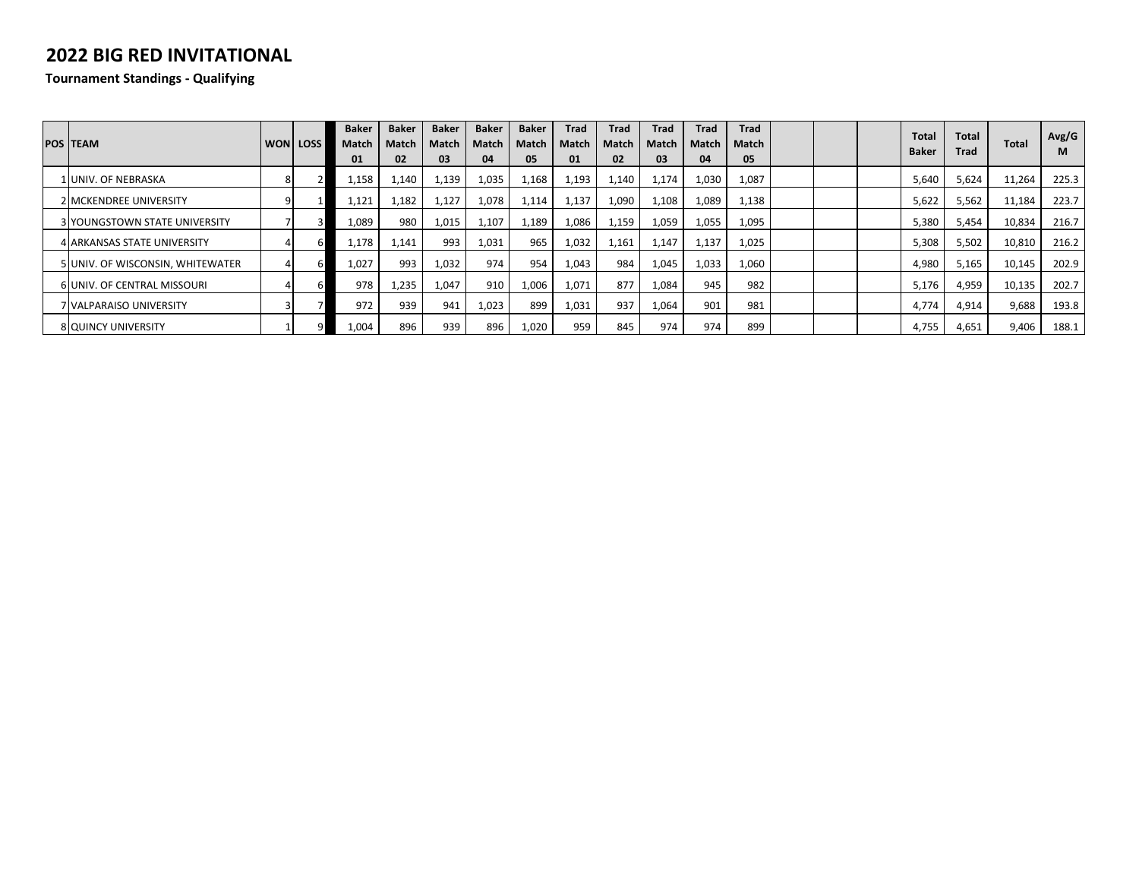## **2022 BIG RED INVITATIONAL**

**Tournament Standings - Qualifying**

| <b>POS TEAM</b>                  | <b>WON</b> | LOSS I | <b>Baker</b><br>Match<br>01 | <b>Baker</b><br>Match<br>02 | <b>Baker</b><br>Match<br>03 | <b>Baker</b><br>Match<br>04 | <b>Baker</b><br><b>Match</b><br>05 | <b>Trad</b><br><b>Match</b><br>01 | Trad<br><b>Match</b><br>02 | <b>Trad</b><br>Match<br>03 | Trad<br>Match<br>04 | <b>Trad</b><br>Match<br>05 |  | <b>Total</b><br><b>Baker</b> | Total<br><b>Trad</b> | <b>Total</b> | Avg/G<br>M. |
|----------------------------------|------------|--------|-----------------------------|-----------------------------|-----------------------------|-----------------------------|------------------------------------|-----------------------------------|----------------------------|----------------------------|---------------------|----------------------------|--|------------------------------|----------------------|--------------|-------------|
| 1 JUNIV. OF NEBRASKA             |            |        | 1,158                       | 1.140                       | 1,139                       | 1,035                       | 1,168                              | 1,193                             | 1.140                      | 1,174                      | 1.030               | 1,087                      |  | 5.640                        | 5.624                | 11.264       | 225.3       |
| <b>2IMCKENDREE UNIVERSITY</b>    |            |        | 1,121                       | 1,182                       | 1,127                       | 1,078                       | 1,114                              | 1,137                             | 1,090                      | 1,108                      | 1,089               | 1,138                      |  | 5,622                        | 5,562                | 11,184       | 223.7       |
| 3 YOUNGSTOWN STATE UNIVERSITY    |            |        | 1.089                       | 980                         | 1,015                       | 1,107                       | 1,189                              | 1,086                             | 1,159                      | 1,059                      | 1,055               | 1,095                      |  | 5,380                        | 5,454                | 10,834       | 216.7       |
| 4 ARKANSAS STATE UNIVERSITY      |            |        | 1,178                       | 1,141                       | 993                         | 1,031                       | 965                                | 1,032                             | 1,161                      | 1,147                      | 1,137               | 1,025                      |  | 5,308                        | 5,502                | 10,810       | 216.2       |
| 5 UNIV. OF WISCONSIN, WHITEWATER |            |        | 1.027                       | 993                         | 1,032                       | 974                         | 954                                | 1,043                             | 984                        | 1,045                      | 1,033               | 1,060                      |  | 4,980                        | 5,165                | 10,145       | 202.9       |
| 6 UNIV. OF CENTRAL MISSOURI      |            |        | 978                         | 1,235                       | 1,047                       | 910                         | 1,006                              | 1,071                             | 877                        | 1,084                      | 945                 | 982                        |  | 5.176                        | 4,959                | 10,135       | 202.7       |
| 7 IVALPARAISO UNIVERSITY         |            |        | 972                         | 939                         | 941                         | 1,023                       | 899                                | 1,031                             | 937                        | 1,064                      | 901                 | 981                        |  | 4.774                        | 4,914                | 9,688        | 193.8       |
| <b>8 QUINCY UNIVERSITY</b>       |            |        | 1,004                       | 896                         | 939                         | 896                         | 1.020                              | 959                               | 845                        | 974                        | 974                 | 899                        |  | 4,755                        | 4,651                | 9,406        | 188.1       |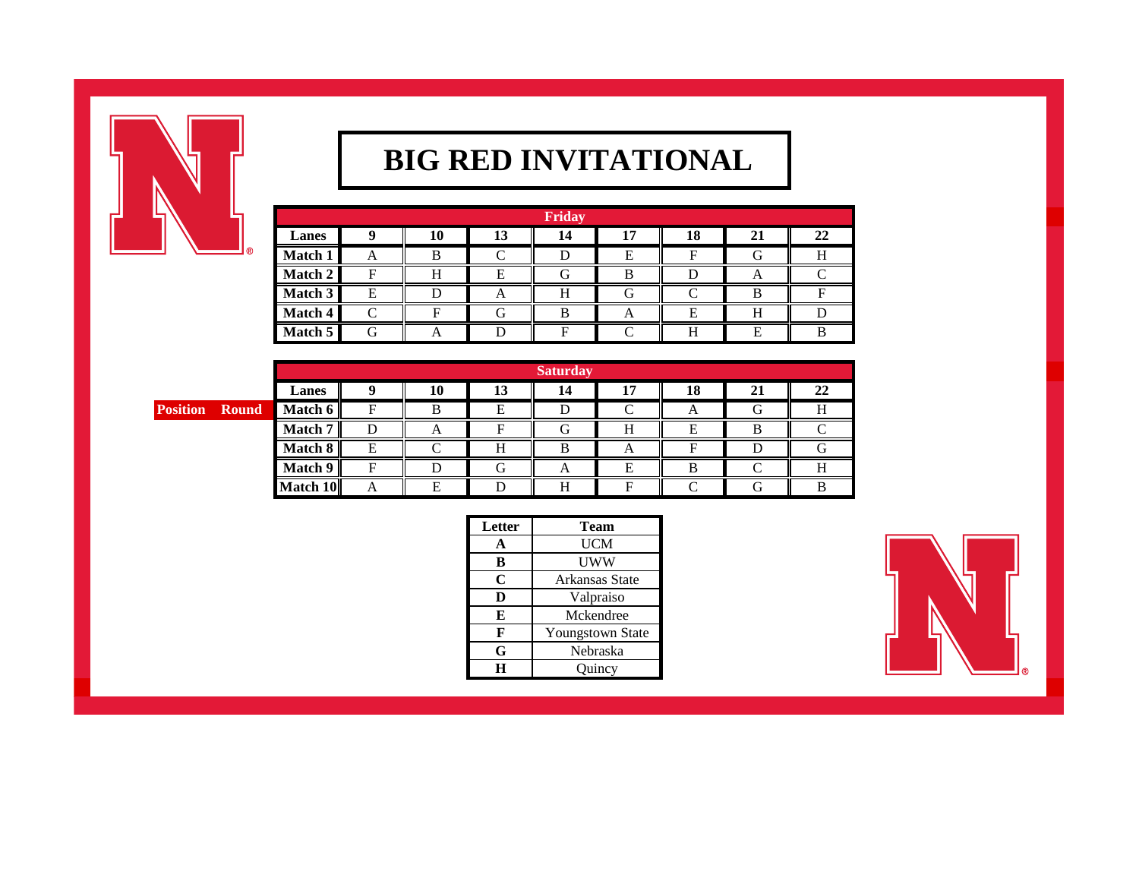## **BIG RED INVITATIONAL**

|         | Friday |    |                    |    |    |    |    |    |  |  |  |  |  |  |
|---------|--------|----|--------------------|----|----|----|----|----|--|--|--|--|--|--|
| Lanes   |        | 10 | 13                 | 14 | 17 | 18 | 21 | 22 |  |  |  |  |  |  |
| Match 1 | A      |    |                    |    | E  | F  | Lτ | Н  |  |  |  |  |  |  |
| Match 2 |        | п  |                    |    | B  |    | A  |    |  |  |  |  |  |  |
| Match 3 | Е      |    | $\mathbf{\Lambda}$ | Н  |    |    |    | п  |  |  |  |  |  |  |
| Match 4 |        | □  |                    |    | Α  | E  | Н  |    |  |  |  |  |  |  |
| Match 5 |        |    |                    | F  |    | H  | E  |    |  |  |  |  |  |  |

|                       | <b>Saturday</b> |  |                                        |   |   |          |   |  |  |  |  |  |  |  |  |  |
|-----------------------|-----------------|--|----------------------------------------|---|---|----------|---|--|--|--|--|--|--|--|--|--|
|                       | <b>Lanes</b>    |  | 22<br>17<br>18<br>10<br>13<br>21<br>14 |   |   |          |   |  |  |  |  |  |  |  |  |  |
| <b>Position Round</b> | Match 6         |  |                                        | E |   |          | A |  |  |  |  |  |  |  |  |  |
|                       | Match 7         |  |                                        | г |   | H        |   |  |  |  |  |  |  |  |  |  |
|                       | Match 8         |  |                                        | H |   | $\Delta$ |   |  |  |  |  |  |  |  |  |  |
|                       | Match 9         |  |                                        |   |   | E        |   |  |  |  |  |  |  |  |  |  |
|                       | <b>Match 10</b> |  |                                        |   | Н | F        |   |  |  |  |  |  |  |  |  |  |

| Letter | Team             |
|--------|------------------|
| A      | <b>UCM</b>       |
| В      | UWW              |
| C      | Arkansas State   |
| D      | Valpraiso        |
| E      | Mckendree        |
| F      | Youngstown State |
| G      | Nebraska         |
| H      | Quincy           |

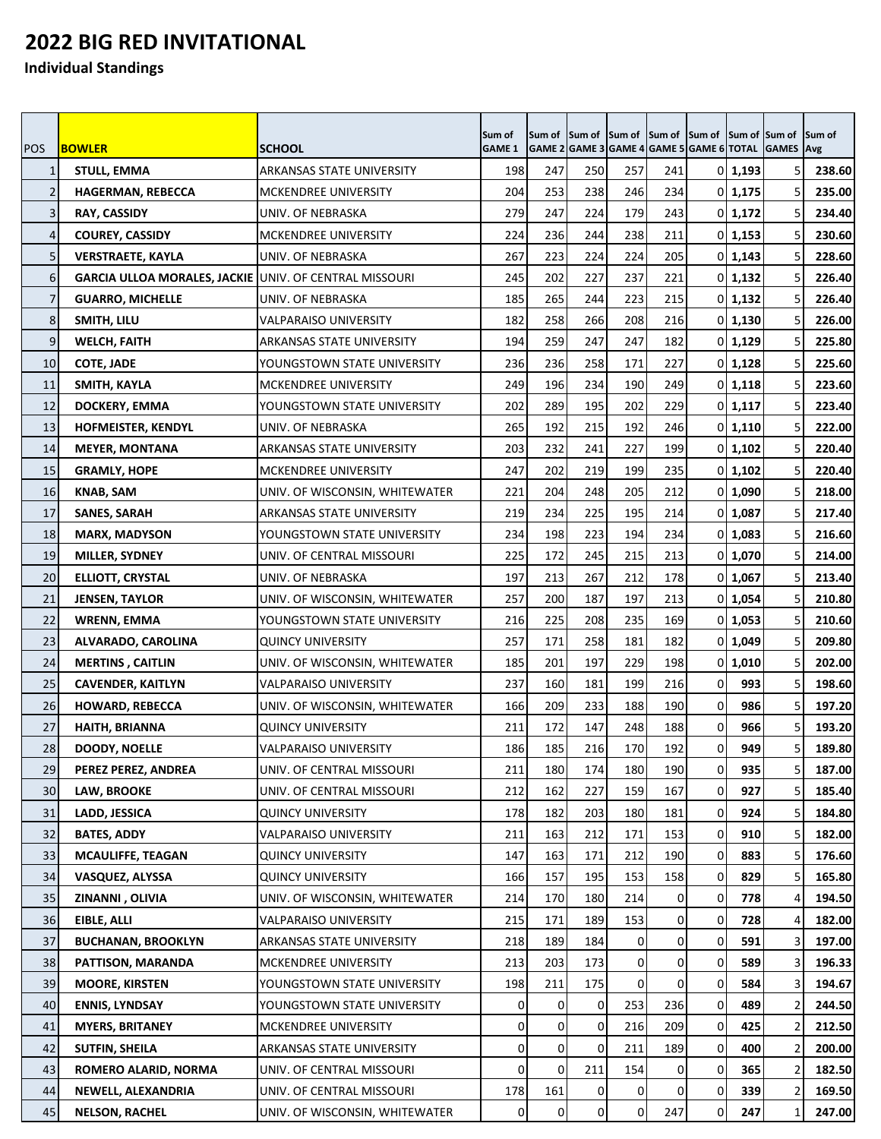## **2022 BIG RED INVITATIONAL**

**Individual Standings**

| <b>POS</b>     | <b>BOWLER</b>                                                 | <b>SCHOOL</b>                    | Sum of<br><b>GAME 1</b> | Sum of | <b>Sum of</b><br>GAME 2 GAME 3 GAME 4 GAME 5 GAME 6 TOTAL | Sum of         | Sum of | Sum of         |           | Sum of Sum of<br><b>GAMES</b> Avg | Sum of |
|----------------|---------------------------------------------------------------|----------------------------------|-------------------------|--------|-----------------------------------------------------------|----------------|--------|----------------|-----------|-----------------------------------|--------|
| 1              | <b>STULL, EMMA</b>                                            | <b>ARKANSAS STATE UNIVERSITY</b> | 198                     | 247    | 250                                                       | 257            | 241    |                | $0$ 1,193 | 5                                 | 238.60 |
| $\overline{2}$ | <b>HAGERMAN, REBECCA</b>                                      | <b>MCKENDREE UNIVERSITY</b>      | 204                     | 253    | 238                                                       | 246            | 234    |                | $0$ 1,175 | 5                                 | 235.00 |
| 3              | <b>RAY, CASSIDY</b>                                           | UNIV. OF NEBRASKA                | 279                     | 247    | 224                                                       | 179            | 243    |                | $0$ 1,172 | 5                                 | 234.40 |
| 4              | <b>COUREY, CASSIDY</b>                                        | MCKENDREE UNIVERSITY             | 224                     | 236    | 244                                                       | 238            | 211    |                | $0$ 1,153 | 5                                 | 230.60 |
| 5              | <b>VERSTRAETE, KAYLA</b>                                      | UNIV. OF NEBRASKA                | 267                     | 223    | 224                                                       | 224            | 205    |                | $0$ 1,143 | 5                                 | 228.60 |
| 6              | <b>GARCIA ULLOA MORALES, JACKIE UNIV. OF CENTRAL MISSOURI</b> |                                  | 245                     | 202    | 227                                                       | 237            | 221    |                | $0$ 1,132 | 5                                 | 226.40 |
| 7              | <b>GUARRO, MICHELLE</b>                                       | UNIV. OF NEBRASKA                | 185                     | 265    | 244                                                       | 223            | 215    |                | $0$ 1,132 | 5                                 | 226.40 |
| 8              | SMITH, LILU                                                   | VALPARAISO UNIVERSITY            | 182                     | 258    | 266                                                       | 208            | 216    |                | $0$ 1,130 | 5                                 | 226.00 |
| 9              | <b>WELCH, FAITH</b>                                           | ARKANSAS STATE UNIVERSITY        | 194                     | 259    | 247                                                       | 247            | 182    |                | $0$ 1,129 | 5                                 | 225.80 |
| 10             | <b>COTE, JADE</b>                                             | YOUNGSTOWN STATE UNIVERSITY      | 236                     | 236    | 258                                                       | 171            | 227    |                | $0$ 1,128 | 5                                 | 225.60 |
| 11             | SMITH, KAYLA                                                  | MCKENDREE UNIVERSITY             | 249                     | 196    | 234                                                       | 190            | 249    |                | $0$ 1,118 | 5                                 | 223.60 |
| 12             | DOCKERY, EMMA                                                 | YOUNGSTOWN STATE UNIVERSITY      | 202                     | 289    | 195                                                       | 202            | 229    |                | $0$ 1,117 | 5                                 | 223.40 |
| 13             | <b>HOFMEISTER, KENDYL</b>                                     | UNIV. OF NEBRASKA                | 265                     | 192    | 215                                                       | 192            | 246    |                | $0$ 1,110 | 5                                 | 222.00 |
| 14             | <b>MEYER, MONTANA</b>                                         | ARKANSAS STATE UNIVERSITY        | 203                     | 232    | 241                                                       | 227            | 199    |                | $0$ 1,102 | 5                                 | 220.40 |
| 15             | <b>GRAMLY, HOPE</b>                                           | <b>MCKENDREE UNIVERSITY</b>      | 247                     | 202    | 219                                                       | 199            | 235    |                | $0$ 1,102 | 5                                 | 220.40 |
| 16             | KNAB, SAM                                                     | UNIV. OF WISCONSIN, WHITEWATER   | 221                     | 204    | 248                                                       | 205            | 212    |                | $0$ 1,090 | 5                                 | 218.00 |
| 17             | SANES, SARAH                                                  | ARKANSAS STATE UNIVERSITY        | 219                     | 234    | 225                                                       | 195            | 214    |                | $0$ 1,087 | 5                                 | 217.40 |
| 18             | <b>MARX, MADYSON</b>                                          | YOUNGSTOWN STATE UNIVERSITY      | 234                     | 198    | 223                                                       | 194            | 234    |                | $0$ 1,083 | 5                                 | 216.60 |
| 19             | <b>MILLER, SYDNEY</b>                                         | UNIV. OF CENTRAL MISSOURI        | 225                     | 172    | 245                                                       | 215            | 213    |                | 0 1,070   | 5                                 | 214.00 |
| 20             | ELLIOTT, CRYSTAL                                              | UNIV. OF NEBRASKA                | 197                     | 213    | 267                                                       | 212            | 178    |                | $0$ 1,067 | 5                                 | 213.40 |
| 21             | <b>JENSEN, TAYLOR</b>                                         | UNIV. OF WISCONSIN, WHITEWATER   | 257                     | 200    | 187                                                       | 197            | 213    |                | $0$ 1,054 |                                   | 210.80 |
| 22             | <b>WRENN, EMMA</b>                                            | YOUNGSTOWN STATE UNIVERSITY      | 216                     | 225    | 208                                                       | 235            | 169    |                | $0$ 1,053 | 5                                 | 210.60 |
| 23             | ALVARADO, CAROLINA                                            | QUINCY UNIVERSITY                | 257                     | 171    | 258                                                       | 181            | 182    |                | $0$ 1,049 |                                   | 209.80 |
| 24             | <b>MERTINS, CAITLIN</b>                                       | UNIV. OF WISCONSIN, WHITEWATER   | 185                     | 201    | 197                                                       | 229            | 198    | 0I             | 1,010     | 5                                 | 202.00 |
| 25             | <b>CAVENDER, KAITLYN</b>                                      | <b>VALPARAISO UNIVERSITY</b>     | 237                     | 160    | 181                                                       | 199            | 216    | $\overline{0}$ | 993       | 5                                 | 198.60 |
| 26             | <b>HOWARD, REBECCA</b>                                        | UNIV. OF WISCONSIN, WHITEWATER   | 166                     | 209    | 233                                                       | 188            | 190    | $\overline{0}$ | 986       | 5                                 | 197.20 |
| 27             | <b>HAITH, BRIANNA</b>                                         | QUINCY UNIVERSITY                | 211                     | 172    | 147                                                       | 248            | 188    | $\Omega$       | 966       | 5                                 | 193.20 |
| 28             | <b>DOODY, NOELLE</b>                                          | <b>VALPARAISO UNIVERSITY</b>     | 186                     | 185    | 216                                                       | 170            | 192    | $\Omega$       | 949       | 5                                 | 189.80 |
| 29             | PEREZ PEREZ, ANDREA                                           | UNIV. OF CENTRAL MISSOURI        | 211                     | 180    | 174                                                       | 180            | 190    | οl             | 935       | 5                                 | 187.00 |
| 30             | LAW, BROOKE                                                   | UNIV. OF CENTRAL MISSOURI        | 212                     | 162    | 227                                                       | 159            | 167    | $\overline{0}$ | 927       | 5                                 | 185.40 |
| 31             | LADD, JESSICA                                                 | <b>QUINCY UNIVERSITY</b>         | 178                     | 182    | 203                                                       | 180            | 181    | $\overline{0}$ | 924       | 5                                 | 184.80 |
| 32             | <b>BATES, ADDY</b>                                            | <b>VALPARAISO UNIVERSITY</b>     | 211                     | 163    | 212                                                       | 171            | 153    | $\overline{0}$ | 910       | 5                                 | 182.00 |
| 33             | <b>MCAULIFFE, TEAGAN</b>                                      | <b>QUINCY UNIVERSITY</b>         | 147                     | 163    | 171                                                       | 212            | 190    | 0              | 883       | 5                                 | 176.60 |
| 34             | VASQUEZ, ALYSSA                                               | QUINCY UNIVERSITY                | 166                     | 157    | 195                                                       | 153            | 158    | $\overline{0}$ | 829       | 5                                 | 165.80 |
| 35             | ZINANNI, OLIVIA                                               | UNIV. OF WISCONSIN, WHITEWATER   | 214                     | 170    | 180                                                       | 214            | 0      | $\overline{0}$ | 778       | 4                                 | 194.50 |
| 36             | EIBLE, ALLI                                                   | <b>VALPARAISO UNIVERSITY</b>     | 215                     | 171    | 189                                                       | 153            | 0      | $\overline{0}$ | 728       | 4                                 | 182.00 |
| 37             | <b>BUCHANAN, BROOKLYN</b>                                     | ARKANSAS STATE UNIVERSITY        | 218                     | 189    | 184                                                       | 0              | 0      | $\overline{0}$ | 591       | 3                                 | 197.00 |
| 38             | PATTISON, MARANDA                                             | MCKENDREE UNIVERSITY             | 213                     | 203    | 173                                                       | 0              | 0      | $\Omega$       | 589       | 3                                 | 196.33 |
| 39             | <b>MOORE, KIRSTEN</b>                                         | YOUNGSTOWN STATE UNIVERSITY      | 198                     | 211    | 175                                                       | $\overline{0}$ | 0      | $\Omega$       | 584       | 3                                 | 194.67 |
| 40             | <b>ENNIS, LYNDSAY</b>                                         | YOUNGSTOWN STATE UNIVERSITY      | 0                       | 0      | 0                                                         | 253            | 236    | $\overline{0}$ | 489       | 2                                 | 244.50 |
| 41             | <b>MYERS, BRITANEY</b>                                        | MCKENDREE UNIVERSITY             | 0                       | 0      | 0                                                         | 216            | 209    | $\overline{0}$ | 425       | 2                                 | 212.50 |
| 42             | <b>SUTFIN, SHEILA</b>                                         | ARKANSAS STATE UNIVERSITY        | 0                       | 0      | 0                                                         | 211            | 189    | $\overline{0}$ | 400       | 2                                 | 200.00 |
| 43             | ROMERO ALARID, NORMA                                          | UNIV. OF CENTRAL MISSOURI        | $\overline{0}$          | 0      | 211                                                       | 154            | 0      | 0              | 365       | 2                                 | 182.50 |
| 44             | NEWELL, ALEXANDRIA                                            | UNIV. OF CENTRAL MISSOURI        | 178                     | 161    | 0                                                         | 0              | 0      | 0              | 339       | 2                                 | 169.50 |
| 45             | <b>NELSON, RACHEL</b>                                         | UNIV. OF WISCONSIN, WHITEWATER   | $\overline{0}$          | 0      | $\mathbf 0$                                               | $\overline{0}$ | 247    | $\Omega$       | 247       | 1                                 | 247.00 |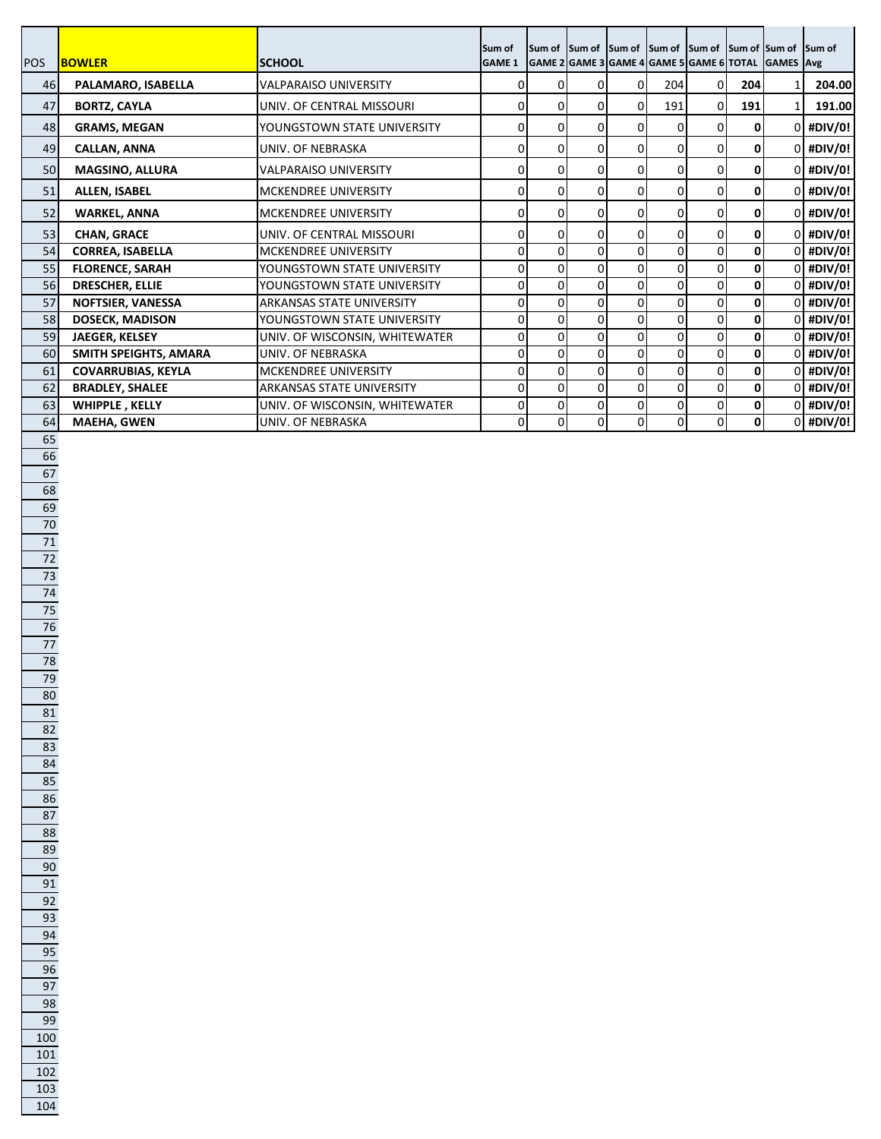| <b>POS</b> | <b>BOWLER</b>             | <b>SCHOOL</b>                    | Sum of<br><b>GAME 1</b> | Sum of Sum of Sum of Sum of Sum of Sum of Sum of Sum of<br>GAME 2 GAME 3 GAME 4 GAME 5 GAME 6 TOTAL GAMES Avg |          |          |                |          |              |    | Sum of      |
|------------|---------------------------|----------------------------------|-------------------------|---------------------------------------------------------------------------------------------------------------|----------|----------|----------------|----------|--------------|----|-------------|
| 46         | PALAMARO, ISABELLA        | <b>VALPARAISO UNIVERSITY</b>     |                         | 0                                                                                                             | 0        | 0        | 204            | $\Omega$ | 204          |    | 204.00      |
| 47         | <b>BORTZ, CAYLA</b>       | UNIV. OF CENTRAL MISSOURI        | 0                       | 0                                                                                                             | 0        | 0        | 191            | 0        | 191          |    | 191.00      |
| 48         | <b>GRAMS, MEGAN</b>       | YOUNGSTOWN STATE UNIVERSITY      | 0                       | 0                                                                                                             | 0        | 0        | $\overline{0}$ | 0        | 0            |    | $0$ #DIV/0! |
| 49         | <b>CALLAN, ANNA</b>       | UNIV. OF NEBRASKA                | 0                       | 0                                                                                                             | 0        | 0        | οI             | $\Omega$ | 0            |    | $0$ #DIV/0! |
| 50         | <b>MAGSINO, ALLURA</b>    | <b>VALPARAISO UNIVERSITY</b>     | 0                       | 0                                                                                                             | 0        | 0        | οI             | ΩI       | 0            |    | 0 #DIV/0!   |
| 51         | <b>ALLEN, ISABEL</b>      | <b>MCKENDREE UNIVERSITY</b>      | 0                       | 0                                                                                                             | 0        | 0        | οI             | 0        | 0            |    | $0$ #DIV/0! |
| 52         | <b>WARKEL, ANNA</b>       | <b>MCKENDREE UNIVERSITY</b>      | 0                       | 0                                                                                                             | 0        | 0        | $\overline{0}$ | $\Omega$ | 0            |    | $0$ #DIV/0! |
| 53         | <b>CHAN, GRACE</b>        | UNIV. OF CENTRAL MISSOURI        | 0                       | 0                                                                                                             | 0        | 0        | $\overline{0}$ | $\Omega$ | 0            |    | $0$ #DIV/0! |
| 54         | <b>CORREA, ISABELLA</b>   | <b>MCKENDREE UNIVERSITY</b>      | 0                       | $\Omega$                                                                                                      | $\Omega$ | $\Omega$ | $\overline{0}$ | O        | $\mathbf{0}$ |    | 0 #DIV/0!   |
| 55         | <b>FLORENCE, SARAH</b>    | YOUNGSTOWN STATE UNIVERSITY      | 0                       | $\Omega$                                                                                                      | $\Omega$ | $\Omega$ | $\Omega$       | $\Omega$ | $\mathbf{0}$ | ΩI | #DIV/0!     |
| 56         | <b>DRESCHER, ELLIE</b>    | YOUNGSTOWN STATE UNIVERSITY      | 0                       | $\Omega$                                                                                                      | 0        | $\Omega$ | $\overline{0}$ | 0        | 0            |    | 0 #DIV/0!   |
| 57         | <b>NOFTSIER, VANESSA</b>  | <b>ARKANSAS STATE UNIVERSITY</b> | 0                       | 0                                                                                                             | 0        | 0        | $\overline{0}$ | 0        | $\mathbf{0}$ |    | 0 #DIV/0!   |
| 58         | <b>DOSECK, MADISON</b>    | YOUNGSTOWN STATE UNIVERSITY      | 0                       | $\Omega$                                                                                                      | $\Omega$ | $\Omega$ | 0              | ΩI       | $\Omega$     |    | 0 #DIV/0!   |
| 59         | JAEGER, KELSEY            | UNIV. OF WISCONSIN, WHITEWATER   | 0                       | $\Omega$                                                                                                      | $\Omega$ | $\Omega$ | $\overline{0}$ | ΩI       | $\mathbf{0}$ |    | 0 #DIV/0!   |
| 60         | SMITH SPEIGHTS, AMARA     | UNIV. OF NEBRASKA                | 0                       | $\Omega$                                                                                                      | $\Omega$ | $\Omega$ | $\Omega$       | $\Omega$ | $\mathbf{0}$ |    | $0$ #DIV/0! |
| 61         | <b>COVARRUBIAS, KEYLA</b> | <b>MCKENDREE UNIVERSITY</b>      | 0                       | $\Omega$                                                                                                      | $\Omega$ | 0        | $\overline{0}$ | O        | $\mathbf{0}$ |    | 0 #DIV/0!   |
| 62         | <b>BRADLEY, SHALEE</b>    | <b>ARKANSAS STATE UNIVERSITY</b> | 0                       | 0                                                                                                             | 0        | 0        | $\overline{0}$ | 0        | 0            |    | 0 #DIV/0!   |
| 63         | <b>WHIPPLE, KELLY</b>     | UNIV. OF WISCONSIN, WHITEWATER   | 0                       | 0                                                                                                             | 0        | 0        | $\overline{0}$ | 0        | $\mathbf 0$  |    | 0 #DIV/0!   |
| 64         | <b>MAEHA, GWEN</b>        | UNIV. OF NEBRASKA                | 0                       | 0                                                                                                             | 0        | 0        | $\Omega$       | 0        | $\mathbf{0}$ |    | 0 #DIV/0!   |